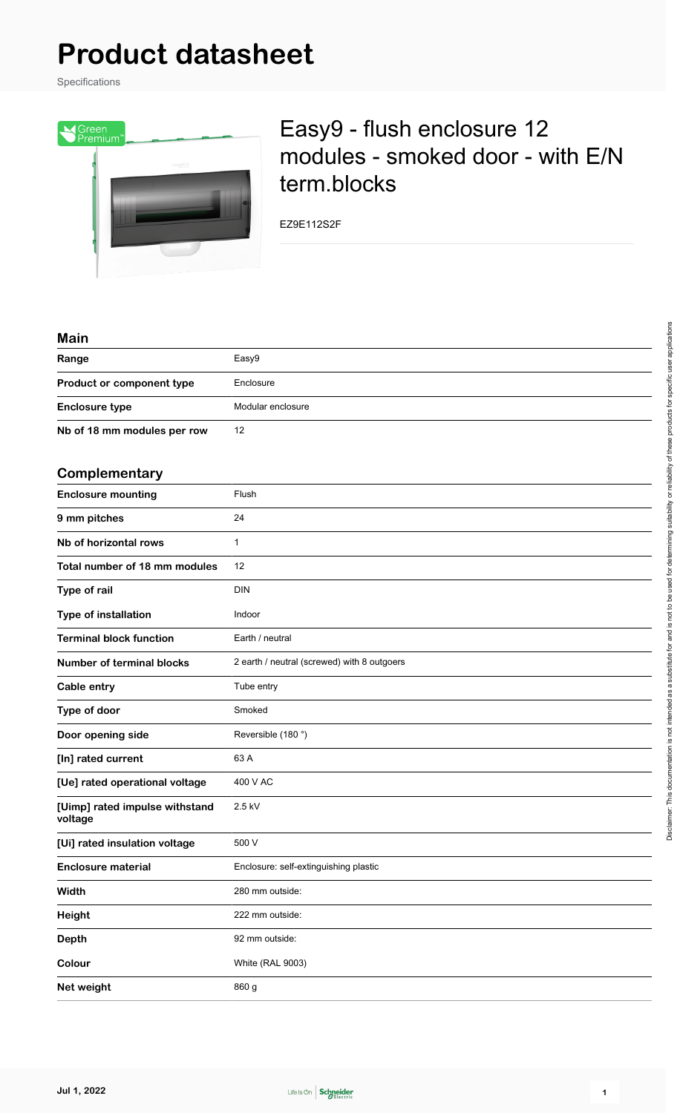# **Product datasheet**

Specifications



## Easy9 - flush enclosure 12 modules - smoked door - with E/N term.blocks

EZ9E112S2F

#### **Main**

| Main                                      |                                             |
|-------------------------------------------|---------------------------------------------|
| Range                                     | Easy9                                       |
| Product or component type                 | Enclosure                                   |
| <b>Enclosure type</b>                     | Modular enclosure                           |
| Nb of 18 mm modules per row               | 12                                          |
| Complementary                             |                                             |
| <b>Enclosure mounting</b>                 | Flush                                       |
| 9 mm pitches                              | 24                                          |
| Nb of horizontal rows                     | $\mathbf{1}$                                |
| Total number of 18 mm modules             | 12                                          |
| Type of rail                              | <b>DIN</b>                                  |
| Type of installation                      | Indoor                                      |
| <b>Terminal block function</b>            | Earth / neutral                             |
| <b>Number of terminal blocks</b>          | 2 earth / neutral (screwed) with 8 outgoers |
| Cable entry                               | Tube entry                                  |
| Type of door                              | Smoked                                      |
| Door opening side                         | Reversible (180°)                           |
| [In] rated current                        | 63 A                                        |
| [Ue] rated operational voltage            | 400 V AC                                    |
| [Uimp] rated impulse withstand<br>voltage | 2.5 kV                                      |
| [Ui] rated insulation voltage             | 500 V                                       |
| <b>Enclosure material</b>                 | Enclosure: self-extinguishing plastic       |
| Width                                     | 280 mm outside:                             |
| Height                                    | 222 mm outside:                             |
| <b>Depth</b>                              | 92 mm outside:                              |
| Colour                                    | White (RAL 9003)                            |
| Net weight                                | 860 g                                       |